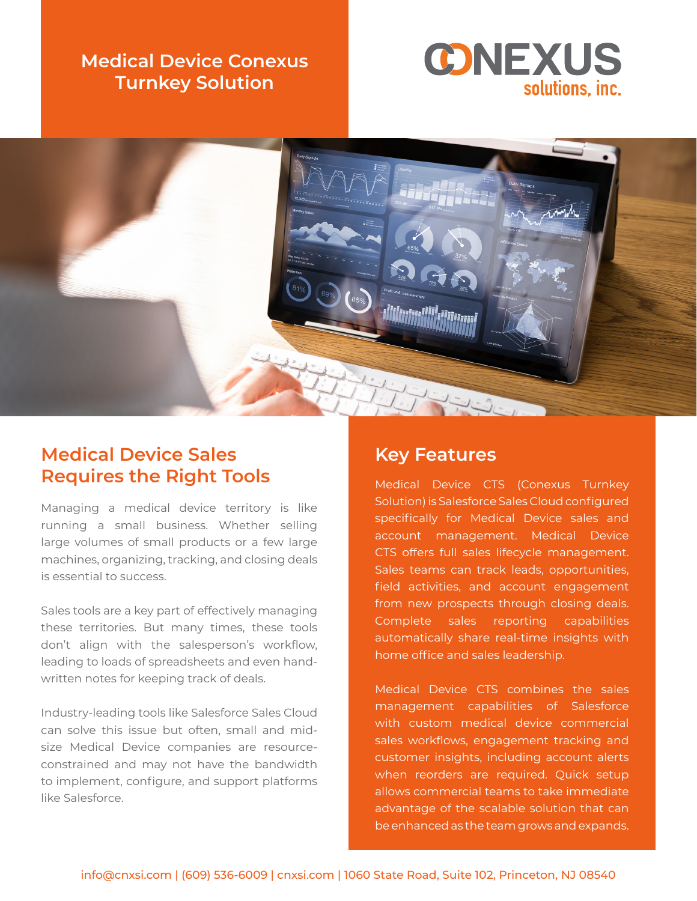## **Medical Device Conexus Turnkey Solution**





## **Medical Device Sales Requires the Right Tools**

Managing a medical device territory is like running a small business. Whether selling large volumes of small products or a few large machines, organizing, tracking, and closing deals is essential to success.

Sales tools are a key part of effectively managing these territories. But many times, these tools don't align with the salesperson's workflow, leading to loads of spreadsheets and even handwritten notes for keeping track of deals.

Industry-leading tools like Salesforce Sales Cloud can solve this issue but often, small and midsize Medical Device companies are resourceconstrained and may not have the bandwidth to implement, configure, and support platforms like Salesforce.

#### **Key Features**

Medical Device CTS (Conexus Turnkey Solution) is Salesforce Sales Cloud configured specifically for Medical Device sales and account management. Medical Device CTS offers full sales lifecycle management. Sales teams can track leads, opportunities, field activities, and account engagement from new prospects through closing deals. Complete sales reporting capabilities automatically share real-time insights with home office and sales leadership.

Medical Device CTS combines the sales management capabilities of Salesforce with custom medical device commercial sales workflows, engagement tracking and customer insights, including account alerts when reorders are required. Quick setup allows commercial teams to take immediate advantage of the scalable solution that can be enhanced as the team grows and expands.